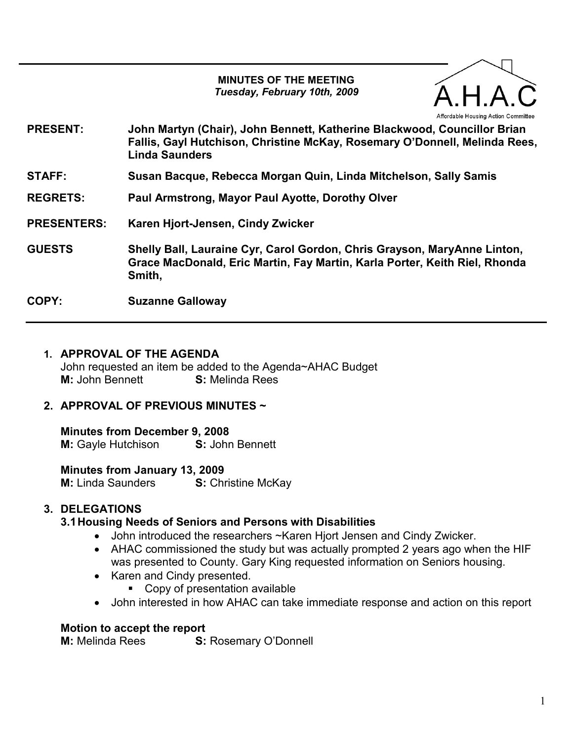#### MINUTES OF THE MEETING Tuesday, February 10th, 2009

PRESENT: John Martyn (Chair), John Bennett, Katherine Blackwood, Councillor Brian Fallis, Gayl Hutchison, Christine McKay, Rosemary O'Donnell, Melinda Rees, Linda Saunders STAFF: Susan Bacque, Rebecca Morgan Quin, Linda Mitchelson, Sally Samis REGRETS: Paul Armstrong, Mayor Paul Ayotte, Dorothy Olver PRESENTERS: Karen Hjort-Jensen, Cindy Zwicker GUESTS Shelly Ball, Lauraine Cyr, Carol Gordon, Chris Grayson, MaryAnne Linton, Grace MacDonald, Eric Martin, Fay Martin, Karla Porter, Keith Riel, Rhonda

COPY: Suzanne Galloway

Smith,

#### 1. APPROVAL OF THE AGENDA

John requested an item be added to the Agenda~AHAC Budget M: John Bennett **S:** Melinda Rees

## 2. APPROVAL OF PREVIOUS MINUTES ~

Minutes from December 9, 2008 M: Gayle Hutchison S: John Bennett

Minutes from January 13, 2009 **M:** Linda Saunders **S:** Christine McKay

# 3. DELEGATIONS

## 3.1 Housing Needs of Seniors and Persons with Disabilities

- John introduced the researchers ~Karen Hjort Jensen and Cindy Zwicker.
- AHAC commissioned the study but was actually prompted 2 years ago when the HIF was presented to County. Gary King requested information on Seniors housing.
- Karen and Cindy presented.
	- Copy of presentation available
- John interested in how AHAC can take immediate response and action on this report

#### Motion to accept the report

M: Melinda Rees S: Rosemary O'Donnell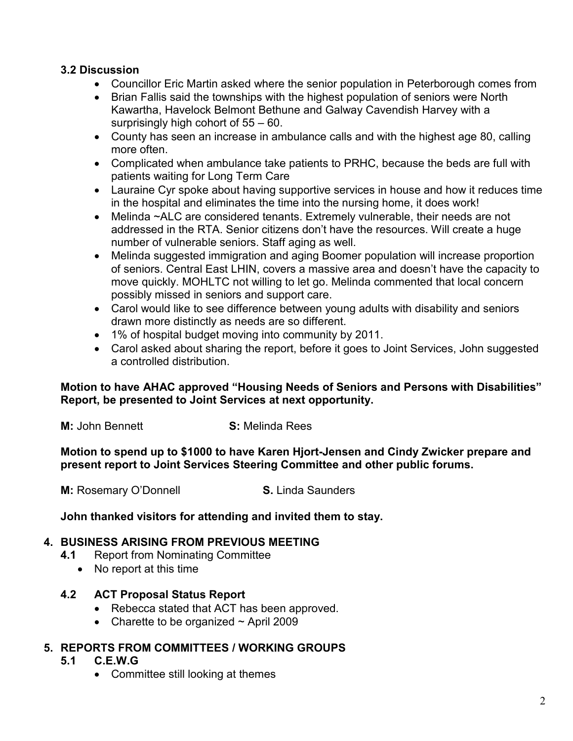## 3.2 Discussion

- Councillor Eric Martin asked where the senior population in Peterborough comes from
- Brian Fallis said the townships with the highest population of seniors were North Kawartha, Havelock Belmont Bethune and Galway Cavendish Harvey with a surprisingly high cohort of 55 – 60.
- County has seen an increase in ambulance calls and with the highest age 80, calling more often.
- Complicated when ambulance take patients to PRHC, because the beds are full with patients waiting for Long Term Care
- Lauraine Cyr spoke about having supportive services in house and how it reduces time in the hospital and eliminates the time into the nursing home, it does work!
- Melinda ~ALC are considered tenants. Extremely vulnerable, their needs are not addressed in the RTA. Senior citizens don't have the resources. Will create a huge number of vulnerable seniors. Staff aging as well.
- Melinda suggested immigration and aging Boomer population will increase proportion of seniors. Central East LHIN, covers a massive area and doesn't have the capacity to move quickly. MOHLTC not willing to let go. Melinda commented that local concern possibly missed in seniors and support care.
- Carol would like to see difference between young adults with disability and seniors drawn more distinctly as needs are so different.
- 1% of hospital budget moving into community by 2011.
- Carol asked about sharing the report, before it goes to Joint Services, John suggested a controlled distribution.

Motion to have AHAC approved "Housing Needs of Seniors and Persons with Disabilities" Report, be presented to Joint Services at next opportunity.

**M:** John Bennett **S:** Melinda Rees

Motion to spend up to \$1000 to have Karen Hjort-Jensen and Cindy Zwicker prepare and present report to Joint Services Steering Committee and other public forums.

**M:** Rosemary O'Donnell **S. Linda Saunders** 

John thanked visitors for attending and invited them to stay.

## 4. BUSINESS ARISING FROM PREVIOUS MEETING

- 4.1 Report from Nominating Committee
	- No report at this time

## 4.2 ACT Proposal Status Report

- Rebecca stated that ACT has been approved.
- Charette to be organized  $\sim$  April 2009

## 5. REPORTS FROM COMMITTEES / WORKING GROUPS

#### 5.1 C.E.W.G

• Committee still looking at themes